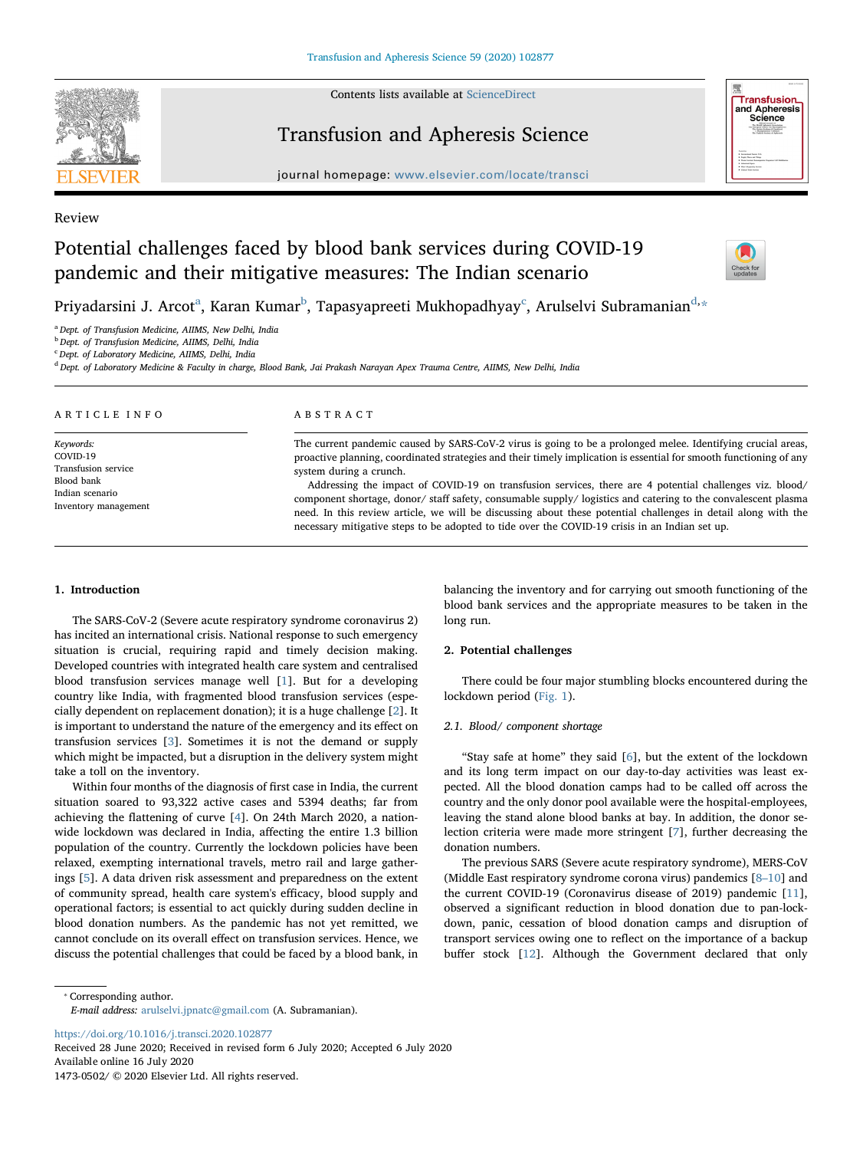Contents lists available at [ScienceDirect](http://www.sciencedirect.com/science/journal/14730502)



# Transfusion and Apheresis Science

journal homepage: [www.elsevier.com/locate/transci](https://www.elsevier.com/locate/transci)



#### Review

# Potential challenges faced by blood bank services during COVID-19 pandemic and their mitigative measures: The Indian scenario



Priy[a](#page-0-0)darsini J. Ar[c](#page-0-2)ot $^{\rm a}$ , Karan Kumar $^{\rm b}$  $^{\rm b}$  $^{\rm b}$ , Tapasyapreeti Mukhopa[d](#page-0-3)hyay $^{\rm c}$ , Arulselvi Subramanian $^{\rm d, \star}$ 

<span id="page-0-0"></span><sup>a</sup> Dept. of Transfusion Medicine, AIIMS, New Delhi, India

<span id="page-0-1"></span><sup>b</sup> Dept. of Transfusion Medicine, AIIMS, Delhi, India

<span id="page-0-2"></span><sup>c</sup> Dept. of Laboratory Medicine, AIIMS, Delhi, India

<span id="page-0-3"></span><sup>d</sup> Dept. of Laboratory Medicine & Faculty in charge, Blood Bank, Jai Prakash Narayan Apex Trauma Centre, AIIMS, New Delhi, India

| ARTICLE INFO                                                                                          | ABSTRACT                                                                                                                                                                                                                                                                                                                                                                                                                                                                                                                                                                                                                                                                                                     |
|-------------------------------------------------------------------------------------------------------|--------------------------------------------------------------------------------------------------------------------------------------------------------------------------------------------------------------------------------------------------------------------------------------------------------------------------------------------------------------------------------------------------------------------------------------------------------------------------------------------------------------------------------------------------------------------------------------------------------------------------------------------------------------------------------------------------------------|
| Keywords:<br>COVID-19<br>Transfusion service<br>Blood bank<br>Indian scenario<br>Inventory management | The current pandemic caused by SARS-CoV-2 virus is going to be a prolonged melee. Identifying crucial areas,<br>proactive planning, coordinated strategies and their timely implication is essential for smooth functioning of any<br>system during a crunch.<br>Addressing the impact of COVID-19 on transfusion services, there are 4 potential challenges viz. blood/<br>component shortage, donor/ staff safety, consumable supply/ logistics and catering to the convalescent plasma<br>need. In this review article, we will be discussing about these potential challenges in detail along with the<br>necessary mitigative steps to be adopted to tide over the COVID-19 crisis in an Indian set up. |

# 1. Introduction

The SARS-CoV-2 (Severe acute respiratory syndrome coronavirus 2) has incited an international crisis. National response to such emergency situation is crucial, requiring rapid and timely decision making. Developed countries with integrated health care system and centralised blood transfusion services manage well [\[1\]](#page-3-0). But for a developing country like India, with fragmented blood transfusion services (especially dependent on replacement donation); it is a huge challenge [\[2\]](#page-3-1). It is important to understand the nature of the emergency and its effect on transfusion services [[3](#page-3-2)]. Sometimes it is not the demand or supply which might be impacted, but a disruption in the delivery system might take a toll on the inventory.

Within four months of the diagnosis of first case in India, the current situation soared to 93,322 active cases and 5394 deaths; far from achieving the flattening of curve [[4](#page-3-3)]. On 24th March 2020, a nationwide lockdown was declared in India, affecting the entire 1.3 billion population of the country. Currently the lockdown policies have been relaxed, exempting international travels, metro rail and large gatherings [[5](#page-3-4)]. A data driven risk assessment and preparedness on the extent of community spread, health care system's efficacy, blood supply and operational factors; is essential to act quickly during sudden decline in blood donation numbers. As the pandemic has not yet remitted, we cannot conclude on its overall effect on transfusion services. Hence, we discuss the potential challenges that could be faced by a blood bank, in

balancing the inventory and for carrying out smooth functioning of the blood bank services and the appropriate measures to be taken in the long run.

#### 2. Potential challenges

There could be four major stumbling blocks encountered during the lockdown period ([Fig. 1](#page-1-0)).

#### 2.1. Blood/ component shortage

"Stay safe at home" they said [\[6\]](#page-3-5), but the extent of the lockdown and its long term impact on our day-to-day activities was least expected. All the blood donation camps had to be called off across the country and the only donor pool available were the hospital-employees, leaving the stand alone blood banks at bay. In addition, the donor selection criteria were made more stringent [[7](#page-3-6)], further decreasing the donation numbers.

The previous SARS (Severe acute respiratory syndrome), MERS-CoV (Middle East respiratory syndrome corona virus) pandemics [8–[10](#page-3-7)] and the current COVID-19 (Coronavirus disease of 2019) pandemic [\[11](#page-3-8)], observed a significant reduction in blood donation due to pan-lockdown, panic, cessation of blood donation camps and disruption of transport services owing one to reflect on the importance of a backup buffer stock [\[12](#page-3-9)]. Although the Government declared that only

<span id="page-0-4"></span>⁎ Corresponding author.

E-mail address: [arulselvi.jpnatc@gmail.com](mailto:arulselvi.jpnatc@gmail.com) (A. Subramanian).

<https://doi.org/10.1016/j.transci.2020.102877>

Received 28 June 2020; Received in revised form 6 July 2020; Accepted 6 July 2020 Available online 16 July 2020

1473-0502/ © 2020 Elsevier Ltd. All rights reserved.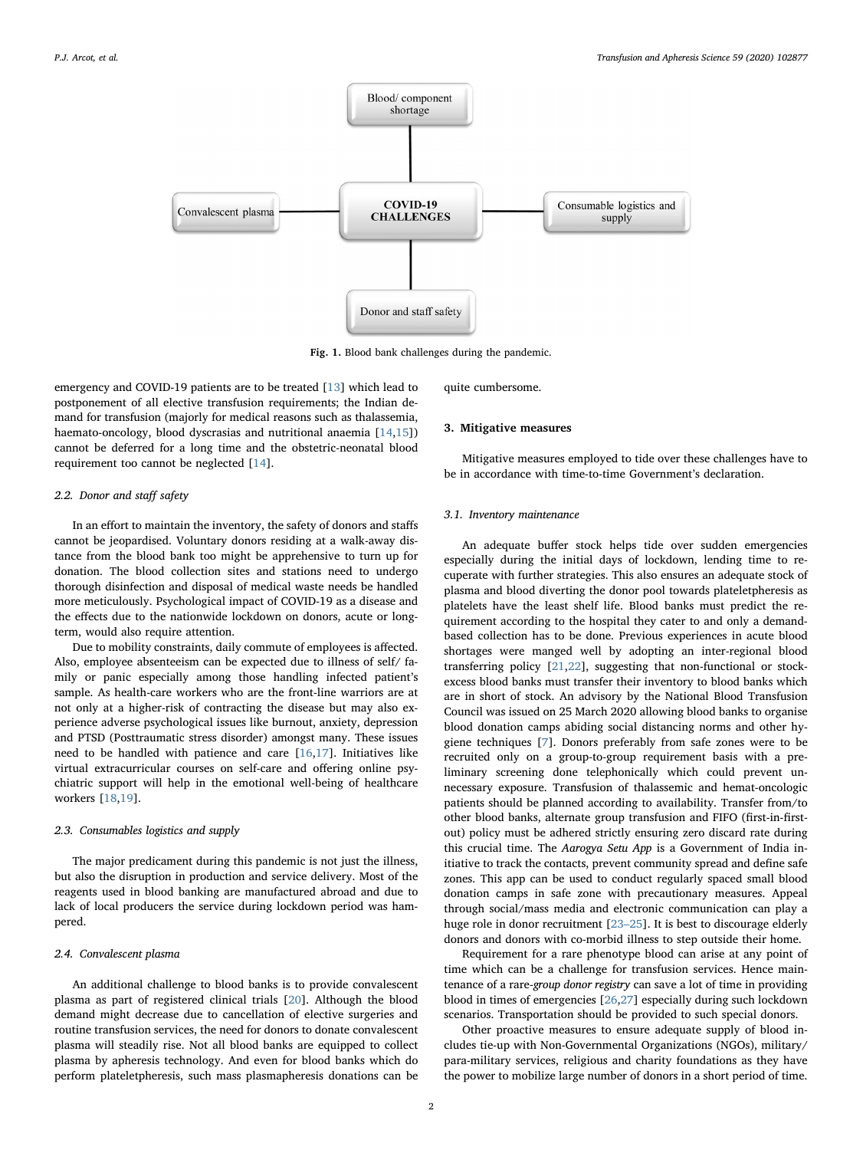<span id="page-1-0"></span>

Fig. 1. Blood bank challenges during the pandemic.

emergency and COVID-19 patients are to be treated [[13\]](#page-3-10) which lead to postponement of all elective transfusion requirements; the Indian demand for transfusion (majorly for medical reasons such as thalassemia, haemato-oncology, blood dyscrasias and nutritional anaemia [\[14](#page-3-11)[,15](#page-3-12)]) cannot be deferred for a long time and the obstetric-neonatal blood requirement too cannot be neglected [[14\]](#page-3-11).

#### 2.2. Donor and staff safety

In an effort to maintain the inventory, the safety of donors and staffs cannot be jeopardised. Voluntary donors residing at a walk-away distance from the blood bank too might be apprehensive to turn up for donation. The blood collection sites and stations need to undergo thorough disinfection and disposal of medical waste needs be handled more meticulously. Psychological impact of COVID-19 as a disease and the effects due to the nationwide lockdown on donors, acute or longterm, would also require attention.

Due to mobility constraints, daily commute of employees is affected. Also, employee absenteeism can be expected due to illness of self/ family or panic especially among those handling infected patient's sample. As health-care workers who are the front-line warriors are at not only at a higher-risk of contracting the disease but may also experience adverse psychological issues like burnout, anxiety, depression and PTSD (Posttraumatic stress disorder) amongst many. These issues need to be handled with patience and care [[16,](#page-3-13)[17](#page-3-14)]. Initiatives like virtual extracurricular courses on self-care and offering online psychiatric support will help in the emotional well-being of healthcare workers [[18,](#page-3-15)[19\]](#page-3-16).

#### 2.3. Consumables logistics and supply

The major predicament during this pandemic is not just the illness, but also the disruption in production and service delivery. Most of the reagents used in blood banking are manufactured abroad and due to lack of local producers the service during lockdown period was hampered.

### 2.4. Convalescent plasma

An additional challenge to blood banks is to provide convalescent plasma as part of registered clinical trials [\[20](#page-3-17)]. Although the blood demand might decrease due to cancellation of elective surgeries and routine transfusion services, the need for donors to donate convalescent plasma will steadily rise. Not all blood banks are equipped to collect plasma by apheresis technology. And even for blood banks which do perform plateletpheresis, such mass plasmapheresis donations can be quite cumbersome.

#### 3. Mitigative measures

Mitigative measures employed to tide over these challenges have to be in accordance with time-to-time Government's declaration.

# 3.1. Inventory maintenance

An adequate buffer stock helps tide over sudden emergencies especially during the initial days of lockdown, lending time to recuperate with further strategies. This also ensures an adequate stock of plasma and blood diverting the donor pool towards plateletpheresis as platelets have the least shelf life. Blood banks must predict the requirement according to the hospital they cater to and only a demandbased collection has to be done. Previous experiences in acute blood shortages were manged well by adopting an inter-regional blood transferring policy [[21,](#page-3-18)[22](#page-3-19)], suggesting that non-functional or stockexcess blood banks must transfer their inventory to blood banks which are in short of stock. An advisory by the National Blood Transfusion Council was issued on 25 March 2020 allowing blood banks to organise blood donation camps abiding social distancing norms and other hygiene techniques [\[7\]](#page-3-6). Donors preferably from safe zones were to be recruited only on a group-to-group requirement basis with a preliminary screening done telephonically which could prevent unnecessary exposure. Transfusion of thalassemic and hemat-oncologic patients should be planned according to availability. Transfer from/to other blood banks, alternate group transfusion and FIFO (first-in-firstout) policy must be adhered strictly ensuring zero discard rate during this crucial time. The Aarogya Setu App is a Government of India initiative to track the contacts, prevent community spread and define safe zones. This app can be used to conduct regularly spaced small blood donation camps in safe zone with precautionary measures. Appeal through social/mass media and electronic communication can play a huge role in donor recruitment [23–[25\]](#page-3-20). It is best to discourage elderly donors and donors with co-morbid illness to step outside their home.

Requirement for a rare phenotype blood can arise at any point of time which can be a challenge for transfusion services. Hence maintenance of a rare-group donor registry can save a lot of time in providing blood in times of emergencies [\[26](#page-3-21)[,27](#page-3-22)] especially during such lockdown scenarios. Transportation should be provided to such special donors.

Other proactive measures to ensure adequate supply of blood includes tie-up with Non-Governmental Organizations (NGOs), military/ para-military services, religious and charity foundations as they have the power to mobilize large number of donors in a short period of time.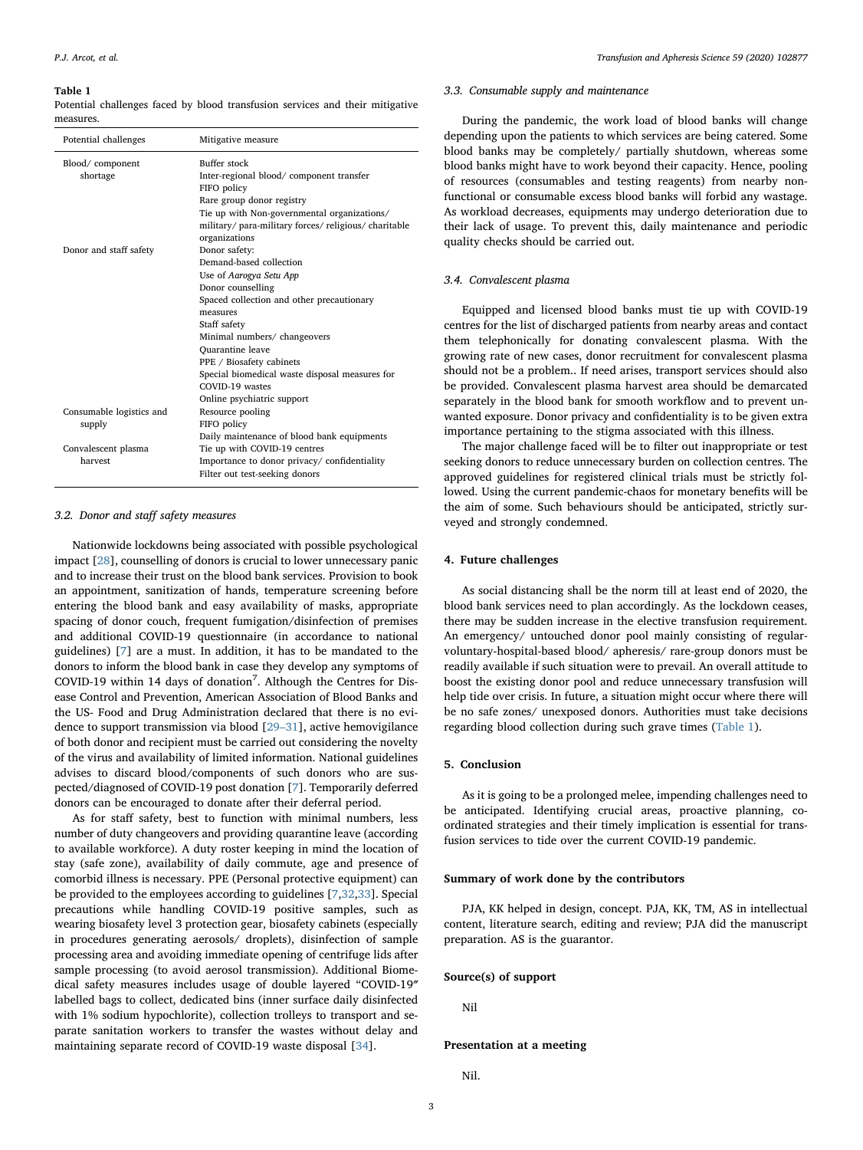#### <span id="page-2-0"></span>Table 1

Potential challenges faced by blood transfusion services and their mitigative measures.

| Potential challenges        | Mitigative measure                                                                                                                                  |
|-----------------------------|-----------------------------------------------------------------------------------------------------------------------------------------------------|
| Blood/component<br>shortage | Buffer stock<br>Inter-regional blood/ component transfer<br>FIFO policy<br>Rare group donor registry<br>Tie up with Non-governmental organizations/ |
|                             | military/para-military forces/religious/charitable<br>organizations                                                                                 |
| Donor and staff safety      | Donor safety:<br>Demand-based collection                                                                                                            |
|                             | Use of Aarogya Setu App                                                                                                                             |
|                             | Donor counselling                                                                                                                                   |
|                             | Spaced collection and other precautionary                                                                                                           |
|                             | measures                                                                                                                                            |
|                             | Staff safety                                                                                                                                        |
|                             | Minimal numbers/ changeovers                                                                                                                        |
|                             | Quarantine leave                                                                                                                                    |
|                             | PPE / Biosafety cabinets                                                                                                                            |
|                             | Special biomedical waste disposal measures for                                                                                                      |
|                             | COVID-19 wastes                                                                                                                                     |
|                             | Online psychiatric support                                                                                                                          |
| Consumable logistics and    | Resource pooling                                                                                                                                    |
| supply                      | FIFO policy                                                                                                                                         |
|                             | Daily maintenance of blood bank equipments                                                                                                          |
| Convalescent plasma         | Tie up with COVID-19 centres                                                                                                                        |
| harvest                     | Importance to donor privacy/confidentiality                                                                                                         |
|                             | Filter out test-seeking donors                                                                                                                      |

#### 3.2. Donor and staff safety measures

Nationwide lockdowns being associated with possible psychological impact [\[28](#page-3-23)], counselling of donors is crucial to lower unnecessary panic and to increase their trust on the blood bank services. Provision to book an appointment, sanitization of hands, temperature screening before entering the blood bank and easy availability of masks, appropriate spacing of donor couch, frequent fumigation/disinfection of premises and additional COVID-19 questionnaire (in accordance to national guidelines) [\[7\]](#page-3-6) are a must. In addition, it has to be mandated to the donors to inform the blood bank in case they develop any symptoms of COVID-19 within 14 days of donation<sup>7</sup>. Although the Centres for Disease Control and Prevention, American Association of Blood Banks and the US- Food and Drug Administration declared that there is no evidence to support transmission via blood [\[29](#page-3-24)–31], active hemovigilance of both donor and recipient must be carried out considering the novelty of the virus and availability of limited information. National guidelines advises to discard blood/components of such donors who are suspected/diagnosed of COVID-19 post donation [[7](#page-3-6)]. Temporarily deferred donors can be encouraged to donate after their deferral period.

As for staff safety, best to function with minimal numbers, less number of duty changeovers and providing quarantine leave (according to available workforce). A duty roster keeping in mind the location of stay (safe zone), availability of daily commute, age and presence of comorbid illness is necessary. PPE (Personal protective equipment) can be provided to the employees according to guidelines [\[7,](#page-3-6)[32,](#page-3-25)[33](#page-3-26)]. Special precautions while handling COVID-19 positive samples, such as wearing biosafety level 3 protection gear, biosafety cabinets (especially in procedures generating aerosols/ droplets), disinfection of sample processing area and avoiding immediate opening of centrifuge lids after sample processing (to avoid aerosol transmission). Additional Biomedical safety measures includes usage of double layered "COVID-19″ labelled bags to collect, dedicated bins (inner surface daily disinfected with 1% sodium hypochlorite), collection trolleys to transport and separate sanitation workers to transfer the wastes without delay and maintaining separate record of COVID-19 waste disposal [[34](#page-3-27)].

#### 3.3. Consumable supply and maintenance

During the pandemic, the work load of blood banks will change depending upon the patients to which services are being catered. Some blood banks may be completely/ partially shutdown, whereas some blood banks might have to work beyond their capacity. Hence, pooling of resources (consumables and testing reagents) from nearby nonfunctional or consumable excess blood banks will forbid any wastage. As workload decreases, equipments may undergo deterioration due to their lack of usage. To prevent this, daily maintenance and periodic quality checks should be carried out.

#### 3.4. Convalescent plasma

Equipped and licensed blood banks must tie up with COVID-19 centres for the list of discharged patients from nearby areas and contact them telephonically for donating convalescent plasma. With the growing rate of new cases, donor recruitment for convalescent plasma should not be a problem.. If need arises, transport services should also be provided. Convalescent plasma harvest area should be demarcated separately in the blood bank for smooth workflow and to prevent unwanted exposure. Donor privacy and confidentiality is to be given extra importance pertaining to the stigma associated with this illness.

The major challenge faced will be to filter out inappropriate or test seeking donors to reduce unnecessary burden on collection centres. The approved guidelines for registered clinical trials must be strictly followed. Using the current pandemic-chaos for monetary benefits will be the aim of some. Such behaviours should be anticipated, strictly surveyed and strongly condemned.

#### 4. Future challenges

As social distancing shall be the norm till at least end of 2020, the blood bank services need to plan accordingly. As the lockdown ceases, there may be sudden increase in the elective transfusion requirement. An emergency/ untouched donor pool mainly consisting of regularvoluntary-hospital-based blood/ apheresis/ rare-group donors must be readily available if such situation were to prevail. An overall attitude to boost the existing donor pool and reduce unnecessary transfusion will help tide over crisis. In future, a situation might occur where there will be no safe zones/ unexposed donors. Authorities must take decisions regarding blood collection during such grave times [\(Table 1\)](#page-2-0).

# 5. Conclusion

As it is going to be a prolonged melee, impending challenges need to be anticipated. Identifying crucial areas, proactive planning, coordinated strategies and their timely implication is essential for transfusion services to tide over the current COVID-19 pandemic.

#### Summary of work done by the contributors

PJA, KK helped in design, concept. PJA, KK, TM, AS in intellectual content, literature search, editing and review; PJA did the manuscript preparation. AS is the guarantor.

### Source(s) of support

Nil

#### Presentation at a meeting

Nil.